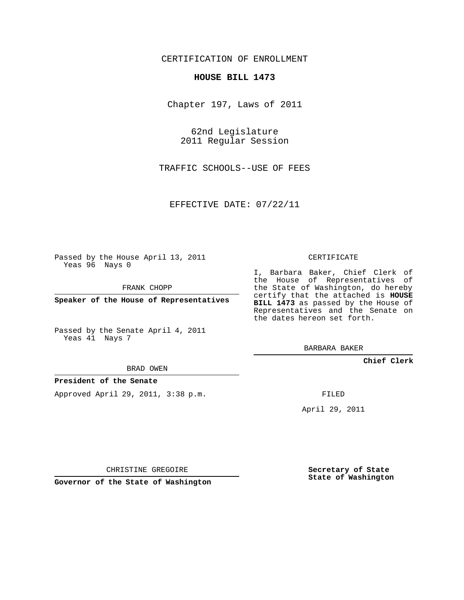CERTIFICATION OF ENROLLMENT

## **HOUSE BILL 1473**

Chapter 197, Laws of 2011

62nd Legislature 2011 Regular Session

TRAFFIC SCHOOLS--USE OF FEES

EFFECTIVE DATE: 07/22/11

Passed by the House April 13, 2011 Yeas 96 Nays 0

FRANK CHOPP

**Speaker of the House of Representatives**

Passed by the Senate April 4, 2011 Yeas 41 Nays 7

BRAD OWEN

## **President of the Senate**

Approved April 29, 2011, 3:38 p.m.

CERTIFICATE

I, Barbara Baker, Chief Clerk of the House of Representatives of the State of Washington, do hereby certify that the attached is **HOUSE BILL 1473** as passed by the House of Representatives and the Senate on the dates hereon set forth.

BARBARA BAKER

**Chief Clerk**

FILED

April 29, 2011

CHRISTINE GREGOIRE

**Governor of the State of Washington**

**Secretary of State State of Washington**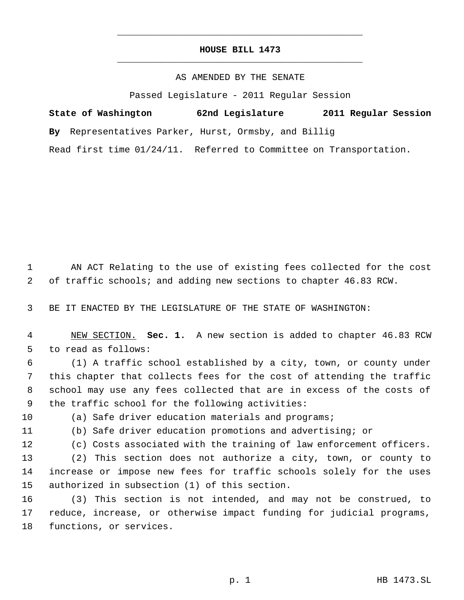## **HOUSE BILL 1473** \_\_\_\_\_\_\_\_\_\_\_\_\_\_\_\_\_\_\_\_\_\_\_\_\_\_\_\_\_\_\_\_\_\_\_\_\_\_\_\_\_\_\_\_\_

\_\_\_\_\_\_\_\_\_\_\_\_\_\_\_\_\_\_\_\_\_\_\_\_\_\_\_\_\_\_\_\_\_\_\_\_\_\_\_\_\_\_\_\_\_

## AS AMENDED BY THE SENATE

Passed Legislature - 2011 Regular Session

| State of Washington | 62nd Legislature                                                   | 2011 Regular Session |
|---------------------|--------------------------------------------------------------------|----------------------|
|                     | By Representatives Parker, Hurst, Ormsby, and Billig               |                      |
|                     | Read first time 01/24/11. Referred to Committee on Transportation. |                      |

 AN ACT Relating to the use of existing fees collected for the cost of traffic schools; and adding new sections to chapter 46.83 RCW.

BE IT ENACTED BY THE LEGISLATURE OF THE STATE OF WASHINGTON:

 NEW SECTION. **Sec. 1.** A new section is added to chapter 46.83 RCW to read as follows:

 (1) A traffic school established by a city, town, or county under this chapter that collects fees for the cost of attending the traffic school may use any fees collected that are in excess of the costs of the traffic school for the following activities:

(a) Safe driver education materials and programs;

(b) Safe driver education promotions and advertising; or

(c) Costs associated with the training of law enforcement officers.

 (2) This section does not authorize a city, town, or county to increase or impose new fees for traffic schools solely for the uses authorized in subsection (1) of this section.

 (3) This section is not intended, and may not be construed, to reduce, increase, or otherwise impact funding for judicial programs, functions, or services.